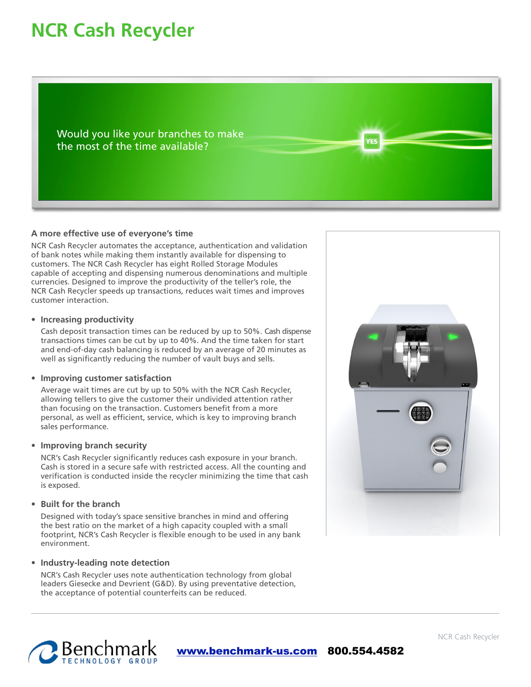## **NCR Cash Recycler**

Would you like your branches to make the most of the time available?

#### **A more effective use of everyone's time**

NCR Cash Recycler automates the acceptance, authentication and validation of bank notes while making them instantly available for dispensing to customers. The NCR Cash Recycler has eight Rolled Storage Modules capable of accepting and dispensing numerous denominations and multiple currencies. Designed to improve the productivity of the teller's role, the NCR Cash Recycler speeds up transactions, reduces wait times and improves customer interaction.

#### **• Increasing productivity**

Cash deposit transaction times can be reduced by up to 50%. Cash dispense transactions times can be cut by up to 40%. And the time taken for start and end-of-day cash balancing is reduced by an average of 20 minutes as well as significantly reducing the number of vault buys and sells.

#### **• Improving customer satisfaction**

Average wait times are cut by up to 50% with the NCR Cash Recycler, allowing tellers to give the customer their undivided attention rather than focusing on the transaction. Customers benefit from a more personal, as well as efficient, service, which is key to improving branch sales performance.

#### **• Improving branch security**

NCR's Cash Recycler significantly reduces cash exposure in your branch. Cash is stored in a secure safe with restricted access. All the counting and verification is conducted inside the recycler minimizing the time that cash is exposed.

#### **• Built for the branch**

Designed with today's space sensitive branches in mind and offering the best ratio on the market of a high capacity coupled with a small footprint, NCR's Cash Recycler is flexible enough to be used in any bank environment.

#### **• Industry-leading note detection**

NCR's Cash Recycler uses note authentication technology from global leaders Giesecke and Devrient (G&D). By using preventative detection, the acceptance of potential counterfeits can be reduced.



**/ES** 



NCR Cash Recycler

[www.benchmark-us.com](http://www.benchmark-us.com) 800.554.4582